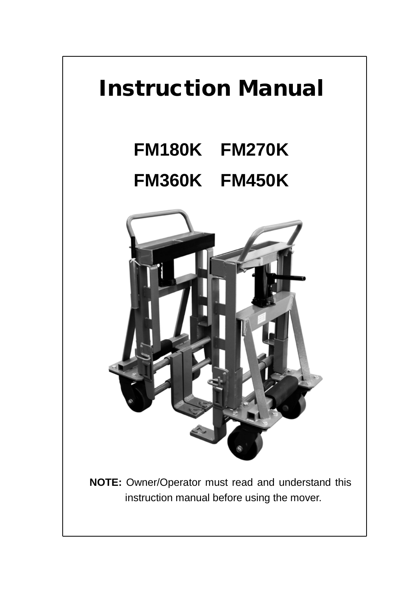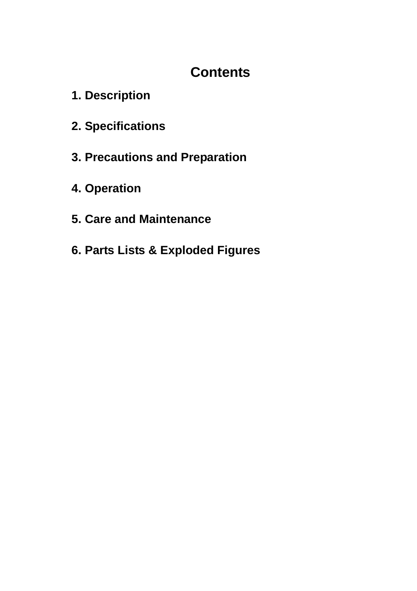# **Contents**

- **1. Description**
- **2. Specifications**
- **3. Precautions and Preparation**
- **4. Operation**
- **5. Care and Maintenance**
- **6. Parts Lists & Exploded Figures**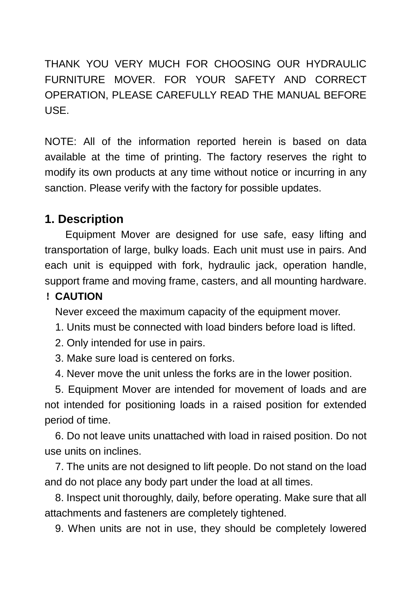THANK YOU VERY MUCH FOR CHOOSING OUR HYDRAULIC FURNITURE MOVER. FOR YOUR SAFETY AND CORRECT OPERATION, PLEASE CAREFULLY READ THE MANUAL BEFORE USE.

NOTE: All of the information reported herein is based on data available at the time of printing. The factory reserves the right to modify its own products at any time without notice or incurring in any sanction. Please verify with the factory for possible updates.

# **1. Description**

 Equipment Mover are designed for use safe, easy lifting and transportation of large, bulky loads. Each unit must use in pairs. And each unit is equipped with fork, hydraulic jack, operation handle, support frame and moving frame, casters, and all mounting hardware.

### !**CAUTION**

Never exceed the maximum capacity of the equipment mover.

1. Units must be connected with load binders before load is lifted.

- 2. Only intended for use in pairs.
- 3. Make sure load is centered on forks.
- 4. Never move the unit unless the forks are in the lower position.

5. Equipment Mover are intended for movement of loads and are not intended for positioning loads in a raised position for extended period of time.

6. Do not leave units unattached with load in raised position. Do not use units on inclines.

7. The units are not designed to lift people. Do not stand on the load and do not place any body part under the load at all times.

8. Inspect unit thoroughly, daily, before operating. Make sure that all attachments and fasteners are completely tightened.

9. When units are not in use, they should be completely lowered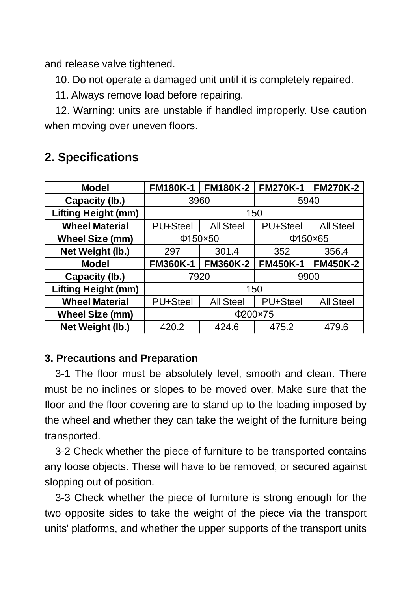and release valve tightened.

10. Do not operate a damaged unit until it is completely repaired.

11. Always remove load before repairing.

12. Warning: units are unstable if handled improperly. Use caution when moving over uneven floors.

| Model                      | <b>FM180K-1</b> | <b>FM180K-2</b> | <b>FM270K-1</b> | <b>FM270K-2</b> |
|----------------------------|-----------------|-----------------|-----------------|-----------------|
| Capacity (lb.)             | 3960            |                 | 5940            |                 |
| <b>Lifting Height (mm)</b> | 150             |                 |                 |                 |
| <b>Wheel Material</b>      | PU+Steel        | All Steel       | PU+Steel        | All Steel       |
| <b>Wheel Size (mm)</b>     | $\Phi$ 150×50   |                 | $\Phi$ 150×65   |                 |
| Net Weight (lb.)           | 297             | 301.4           | 352             | 356.4           |
| Model                      | <b>FM360K-1</b> | <b>FM360K-2</b> | <b>FM450K-1</b> | <b>FM450K-2</b> |
| Capacity (lb.)             | 7920            |                 | 9900            |                 |
| <b>Lifting Height (mm)</b> | 150             |                 |                 |                 |
| <b>Wheel Material</b>      | PU+Steel        | All Steel       | PU+Steel        | All Steel       |
| <b>Wheel Size (mm)</b>     | Φ200×75         |                 |                 |                 |
| Net Weight (lb.)           | 420.2           | 424.6           | 475.2           | 479.6           |

# **2. Specifications**

### **3. Precautions and Preparation**

3-1 The floor must be absolutely level, smooth and clean. There must be no inclines or slopes to be moved over. Make sure that the floor and the floor covering are to stand up to the loading imposed by the wheel and whether they can take the weight of the furniture being transported.

3-2 Check whether the piece of furniture to be transported contains any loose objects. These will have to be removed, or secured against slopping out of position.

3-3 Check whether the piece of furniture is strong enough for the two opposite sides to take the weight of the piece via the transport units' platforms, and whether the upper supports of the transport units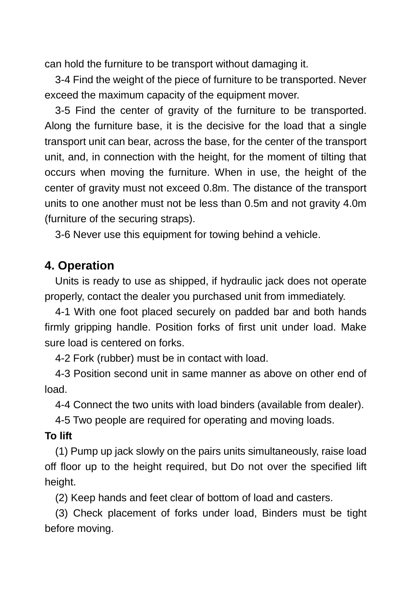can hold the furniture to be transport without damaging it.

3-4 Find the weight of the piece of furniture to be transported. Never exceed the maximum capacity of the equipment mover.

3-5 Find the center of gravity of the furniture to be transported. Along the furniture base, it is the decisive for the load that a single transport unit can bear, across the base, for the center of the transport unit, and, in connection with the height, for the moment of tilting that occurs when moving the furniture. When in use, the height of the center of gravity must not exceed 0.8m. The distance of the transport units to one another must not be less than 0.5m and not gravity 4.0m (furniture of the securing straps).

3-6 Never use this equipment for towing behind a vehicle.

## **4. Operation**

Units is ready to use as shipped, if hydraulic jack does not operate properly, contact the dealer you purchased unit from immediately.

4-1 With one foot placed securely on padded bar and both hands firmly gripping handle. Position forks of first unit under load. Make sure load is centered on forks.

4-2 Fork (rubber) must be in contact with load.

4-3 Position second unit in same manner as above on other end of load.

4-4 Connect the two units with load binders (available from dealer).

4-5 Two people are required for operating and moving loads.

#### **To lift**

(1) Pump up jack slowly on the pairs units simultaneously, raise load off floor up to the height required, but Do not over the specified lift height.

(2) Keep hands and feet clear of bottom of load and casters.

(3) Check placement of forks under load, Binders must be tight before moving.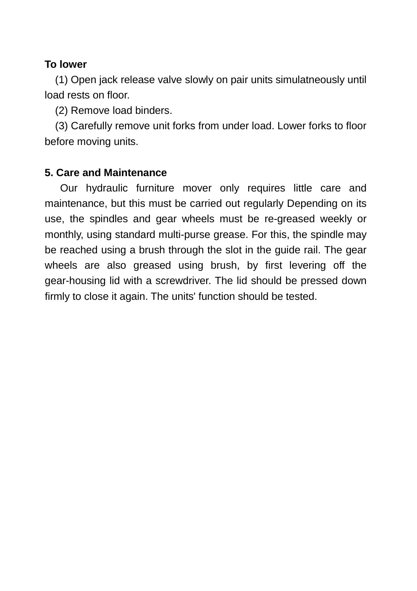### **To lower**

(1) Open jack release valve slowly on pair units simulatneously until load rests on floor.

(2) Remove load binders.

(3) Carefully remove unit forks from under load. Lower forks to floor before moving units.

## **5. Care and Maintenance**

 Our hydraulic furniture mover only requires little care and maintenance, but this must be carried out regularly Depending on its use, the spindles and gear wheels must be re-greased weekly or monthly, using standard multi-purse grease. For this, the spindle may be reached using a brush through the slot in the guide rail. The gear wheels are also greased using brush, by first levering off the gear-housing lid with a screwdriver. The lid should be pressed down firmly to close it again. The units' function should be tested.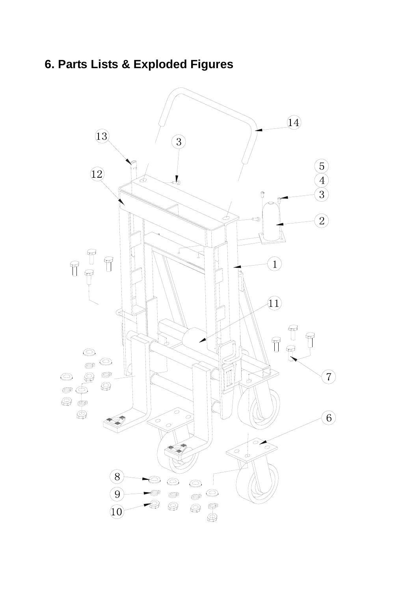# **6. Parts Lists & Exploded Figures**